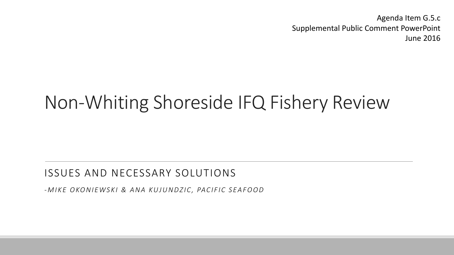Agenda Item G.5.c Supplemental Public Comment PowerPoint June 2016

# Non-Whiting Shoreside IFQ Fishery Review

#### ISSUES AND NECESSARY SOLUTIONS

*-MIKE OKONIEWSKI & ANA KUJUNDZIC, PACIFIC SEAFOOD*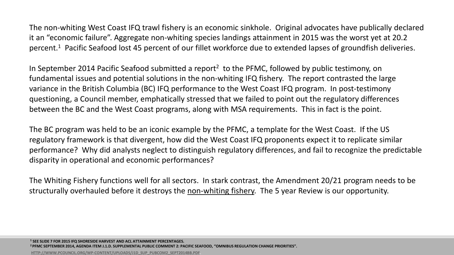The non-whiting West Coast IFQ trawl fishery is an economic sinkhole. Original advocates have publically declared it an "economic failure". Aggregate non-whiting species landings attainment in 2015 was the worst yet at 20.2 percent.1 Pacific Seafood lost 45 percent of our fillet workforce due to extended lapses of groundfish deliveries.

In September 2014 Pacific Seafood submitted a report<sup>2</sup> to the PFMC, followed by public testimony, on fundamental issues and potential solutions in the non-whiting IFQ fishery. The report contrasted the large variance in the British Columbia (BC) IFQ performance to the West Coast IFQ program. In post-testimony questioning, a Council member, emphatically stressed that we failed to point out the regulatory differences between the BC and the West Coast programs, along with MSA requirements. This in fact is the point.

The BC program was held to be an iconic example by the PFMC, a template for the West Coast. If the US regulatory framework is that divergent, how did the West Coast IFQ proponents expect it to replicate similar performance? Why did analysts neglect to distinguish regulatory differences, and fail to recognize the predictable disparity in operational and economic performances?

The Whiting Fishery functions well for all sectors. In stark contrast, the Amendment 20/21 program needs to be structurally overhauled before it destroys the non-whiting fishery. The 5 year Review is our opportunity.

**<sup>1</sup> SEE SLIDE 7 FOR 2015 IFQ SHORESIDE HARVEST AND ACL ATTAINMENT PERCENTAGES.**

**2 PFMC SEPTEMBER 2014, AGENDA ITEM J.1.D. SUPPLEMENTAL PUBLIC COMMENT 2: PACIFIC SEAFOOD, "OMNIBUS REGULATION CHANGE PRIORITIES".**

**[HTTP://WWW.PCOUNCIL.ORG/WP-CONTENT/UPLOADS/J1D\\_SUP\\_PUBCOM2\\_SEPT2014BB.PDF](http://www.pcouncil.org/wp-content/uploads/J1d_Sup_PubCom2_SEPT2014BB.pdf)**.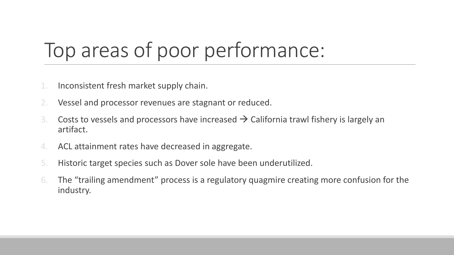# Top areas of poor performance:

- 1. Inconsistent fresh market supply chain.
- Vessel and processor revenues are stagnant or reduced.
- 3. Costs to vessels and processors have increased  $\rightarrow$  California trawl fishery is largely an artifact.
- 4. ACL attainment rates have decreased in aggregate.
- 5. Historic target species such as Dover sole have been underutilized.
- 6. The "trailing amendment" process is a regulatory quagmire creating more confusion for the industry.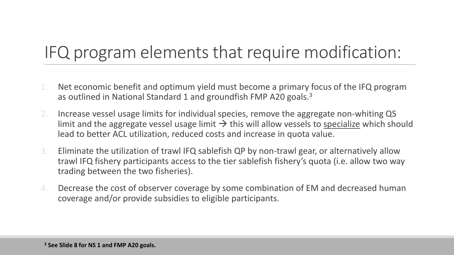## IFQ program elements that require modification:

- 1. Net economic benefit and optimum yield must become a primary focus of the IFQ program as outlined in National Standard 1 and groundfish FMP A20 goals.3
- 2. Increase vessel usage limits for individual species, remove the aggregate non-whiting QS limit and the aggregate vessel usage limit  $\rightarrow$  this will allow vessels to specialize which should lead to better ACL utilization, reduced costs and increase in quota value.
- 3. Eliminate the utilization of trawl IFQ sablefish QP by non-trawl gear, or alternatively allow trawl IFQ fishery participants access to the tier sablefish fishery's quota (i.e. allow two way trading between the two fisheries).
- 4. Decrease the cost of observer coverage by some combination of EM and decreased human coverage and/or provide subsidies to eligible participants.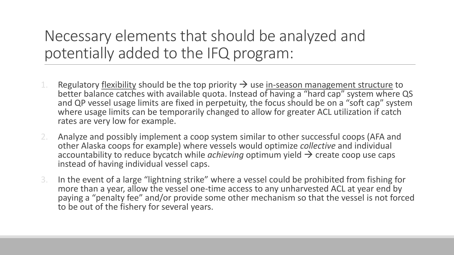### Necessary elements that should be analyzed and potentially added to the IFQ program:

- 1. Regulatory flexibility should be the top priority  $\rightarrow$  use <u>in-season management structure</u> to better balance catches with available quota. Instead of having a "hard cap" system where QS and QP vessel usage limits are fixed in perpetuity, the focus should be on a "soft cap" system where usage limits can be temporarily changed to allow for greater ACL utilization if catch rates are very low for example.
- 2. Analyze and possibly implement a coop system similar to other successful coops (AFA and other Alaska coops for example) where vessels would optimize *collective* and individual accountability to reduce bycatch while *achieving* optimum yield  $\rightarrow$  create coop use caps instead of having individual vessel caps.
- 3. In the event of a large "lightning strike" where a vessel could be prohibited from fishing for more than a year, allow the vessel one-time access to any unharvested ACL at year end by paying a "penalty fee" and/or provide some other mechanism so that the vessel is not forced to be out of the fishery for several years.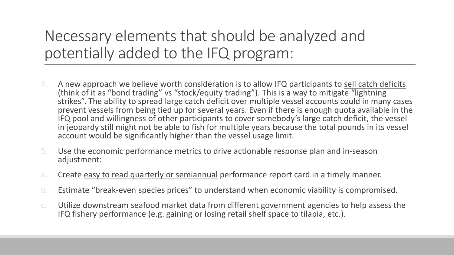### Necessary elements that should be analyzed and potentially added to the IFQ program:

- 4. A new approach we believe worth consideration is to allow IFQ participants to sell catch deficits (think of it as "bond trading" vs "stock/equity trading"). This is a way to mitigate "lightning strikes". The ability to spread large catch deficit over multiple vessel accounts could in many cases prevent vessels from being tied up for several years. Even if there is enough quota available in the IFQ pool and willingness of other participants to cover somebody's large catch deficit, the vessel in jeopardy still might not be able to fish for multiple years because the total pounds in its vessel account would be significantly higher than the vessel usage limit.
- 5. Use the economic performance metrics to drive actionable response plan and in-season adjustment:
- a. Create easy to read quarterly or semiannual performance report card in a timely manner.
- b. Estimate "break-even species prices" to understand when economic viability is compromised.
- c. Utilize downstream seafood market data from different government agencies to help assess the IFQ fishery performance (e.g. gaining or losing retail shelf space to tilapia, etc.).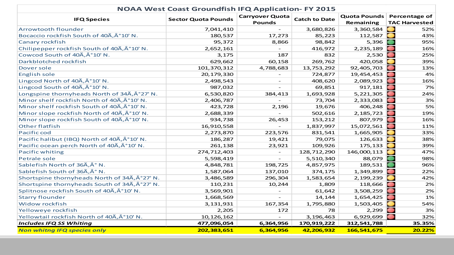| <b>NOAA West Coast Groundfish IFQ Application- FY 2015</b> |                            |                                         |                      |             |                            |
|------------------------------------------------------------|----------------------------|-----------------------------------------|----------------------|-------------|----------------------------|
| <b>IFQ Species</b>                                         | <b>Sector Quota Pounds</b> | <b>Carryover Quota</b><br><b>Pounds</b> | <b>Catch to Date</b> |             | Quota Pounds Percentage of |
|                                                            |                            |                                         |                      | Remaining   | <b>TAC Harvested</b>       |
| <b>Arrowtooth flounder</b>                                 | 7,041,410                  |                                         | 3,680,826            | 3,360,584   | 52%                        |
| Bocaccio rockfish South of 40A, °10' N.                    | 180,537                    | 17,273                                  | 85,223               | 112,587     | 43%                        |
| <b>Canary rockfish</b>                                     | 95,372                     | 8,866                                   | 98,842               | 5,396       | 95%                        |
| Chilipepper rockfish South of 40A, A°10' N.                | 2,652,161                  |                                         | 416,972              | 2,235,189   | 16%<br>●                   |
| Cowcod South of 40A, A°10' N.                              | 3,175                      | 187                                     | 832                  | 2,530       | 25%<br>$\bullet$           |
| Darkblotched rockfish                                      | 629,662                    | 60,158                                  | 269,762              | 420,058     | 39%                        |
| Dover sole                                                 | 101,370,312                | 4,788,683                               | 13,753,292           | 92,405,703  | 13%                        |
| <b>English sole</b>                                        | 20,179,330                 |                                         | 724,877              | 19,454,453  | 4%                         |
| Lingcod North of 40A, A°10' N.                             | 2,498,543                  | $\equiv$                                | 408,620              | 2,089,923   | 16%                        |
| Lingcod South of 40A, A°10' N.                             | 987,032                    |                                         | 69,851               | 917,181     | 7%                         |
| Longspine thornyheads North of 34A, °27' N.                | 6,530,820                  | 384,413                                 | 1,693,928            | 5,221,305   | 24%                        |
| Minor shelf rockfish North of 40A, A°10' N.                | 2,406,787                  |                                         | 73,704               | 2,333,083   | 3%                         |
| Minor shelf rockfish South of 40A, A°10' N.                | 423,728                    | 2,196                                   | 19,676               | 406,248     | 5%                         |
| Minor slope rockfish North of 40A, A°10' N.                | 2,688,339                  |                                         | 502,616              | 2, 185, 723 | 19%<br>●                   |
| Minor slope rockfish South of 40A, A°10' N.                | 934,738                    | 26,453                                  | 153,212              | 807,979     | 16%<br>●                   |
| <b>Other flatfish</b>                                      | 16,910,558                 |                                         | 1,837,997            | 15,072,561  | 11%                        |
| Pacific cod                                                | 2,273,870                  | 223,576                                 | 831,541              | 1,665,905   | 33%                        |
| Pacific halibut (IBQ) North of 40A, A°10' N.               | 186,287                    | 19,421                                  | 79,075               | 126,633     | 38%                        |
| Pacific ocean perch North of 40A, A°10' N.                 | 261,138                    | 23,921                                  | 109,926              | 175,133     | 39%                        |
| <b>Pacific whiting</b>                                     | 274,712,403                |                                         | 128,712,290          | 146,000,113 | 47%                        |
| Petrale sole                                               | 5,598,419                  | $ \,$                                   | 5,510,340            | 88,079      | 98%                        |
| Sablefish North of 36A, ° N.                               | 4,848,781                  | 198,725                                 | 4,857,975            | 189,531     | 96%                        |
| Sablefish South of 36A, ° N.                               | 1,587,064                  | 137,010                                 | 374,175              | 1,349,899   | 22%<br>$\bullet$           |
| Shortspine thornyheads North of 34A, A°27' N.              | 3,486,589                  | 296,304                                 | 1,583,654            | 2,199,239   | 42%                        |
| Shortspine thornyheads South of 34A, A°27' N.              | 110,231                    | 10,244                                  | 1,809                | 118,666     | 2%                         |
| Splitnose rockfish South of 40A, A°10' N.                  | 3,569,901                  |                                         | 61,642               | 3,508,259   | 2%                         |
| <b>Starry flounder</b>                                     | 1,668,569                  |                                         | 14,144               | 1,654,425   | 1%                         |
| <b>Widow rockfish</b>                                      | 3,131,931                  | 167,354                                 | 1,795,880            | 1,503,405   | 54%                        |
| Yelloweye rockfish                                         | 2,205                      | 172                                     | 78                   | 2,299       | 3%                         |
| Yellowtail rockfish North of 40A, A°10' N.                 | 10, 126, 162               |                                         | 3,196,463            | 6,929,699   | 32%                        |
| <b>Includes IFQ SS Whiting</b>                             | 477,096,054                | 6,364,956                               | 170,919,222          | 312,541,788 | 35.35%                     |
| <b>Non whitng IFQ species only</b>                         | 202,383,651                | 6,364,956                               | 42,206,932           | 166,541,675 | 20.22%                     |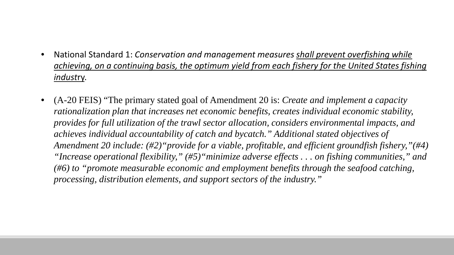- National Standard 1: *Conservation and management measures shall prevent overfishing while achieving, on a continuing basis, the optimum yield from each fishery for the United States fishing indust*ry.
- (A-20 FEIS) "The primary stated goal of Amendment 20 is: *Create and implement a capacity rationalization plan that increases net economic benefits, creates individual economic stability, provides for full utilization of the trawl sector allocation, considers environmental impacts, and achieves individual accountability of catch and bycatch." Additional stated objectives of Amendment 20 include: (#2)"provide for a viable, profitable, and efficient groundfish fishery,"(#4) "Increase operational flexibility," (#5)"minimize adverse effects . . . on fishing communities," and (#6) to "promote measurable economic and employment benefits through the seafood catching, processing, distribution elements, and support sectors of the industry."*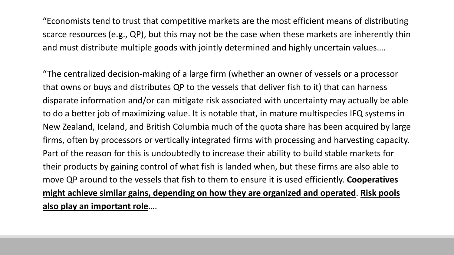"Economists tend to trust that competitive markets are the most efficient means of distributing scarce resources (e.g., QP), but this may not be the case when these markets are inherently thin and must distribute multiple goods with jointly determined and highly uncertain values….

"The centralized decision-making of a large firm (whether an owner of vessels or a processor that owns or buys and distributes QP to the vessels that deliver fish to it) that can harness disparate information and/or can mitigate risk associated with uncertainty may actually be able to do a better job of maximizing value. It is notable that, in mature multispecies IFQ systems in New Zealand, Iceland, and British Columbia much of the quota share has been acquired by large firms, often by processors or vertically integrated firms with processing and harvesting capacity. Part of the reason for this is undoubtedly to increase their ability to build stable markets for their products by gaining control of what fish is landed when, but these firms are also able to move QP around to the vessels that fish to them to ensure it is used efficiently. **Cooperatives might achieve similar gains, depending on how they are organized and operated**. **Risk pools also play an important role**….